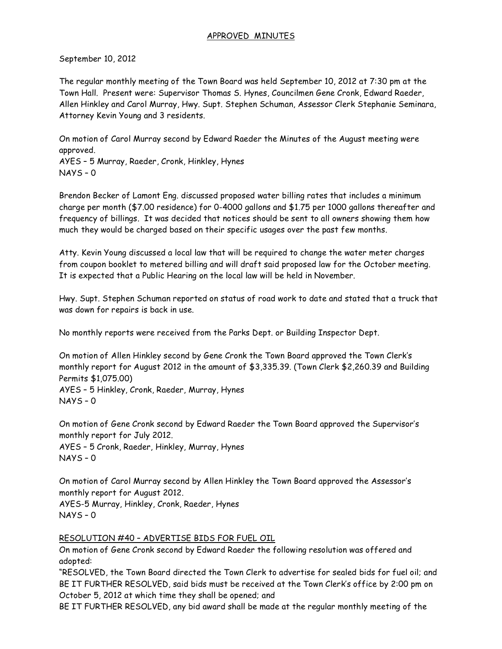## APPROVED MINUTES

September 10, 2012

The regular monthly meeting of the Town Board was held September 10, 2012 at 7:30 pm at the Town Hall. Present were: Supervisor Thomas S. Hynes, Councilmen Gene Cronk, Edward Raeder, Allen Hinkley and Carol Murray, Hwy. Supt. Stephen Schuman, Assessor Clerk Stephanie Seminara, Attorney Kevin Young and 3 residents.

On motion of Carol Murray second by Edward Raeder the Minutes of the August meeting were approved.

AYES – 5 Murray, Raeder, Cronk, Hinkley, Hynes NAYS – 0

Brendon Becker of Lamont Eng. discussed proposed water billing rates that includes a minimum charge per month (\$7.00 residence) for 0-4000 gallons and \$1.75 per 1000 gallons thereafter and frequency of billings. It was decided that notices should be sent to all owners showing them how much they would be charged based on their specific usages over the past few months.

Atty. Kevin Young discussed a local law that will be required to change the water meter charges from coupon booklet to metered billing and will draft said proposed law for the October meeting. It is expected that a Public Hearing on the local law will be held in November.

Hwy. Supt. Stephen Schuman reported on status of road work to date and stated that a truck that was down for repairs is back in use.

No monthly reports were received from the Parks Dept. or Building Inspector Dept.

On motion of Allen Hinkley second by Gene Cronk the Town Board approved the Town Clerk's monthly report for August 2012 in the amount of \$3,335.39. (Town Clerk \$2,260.39 and Building Permits \$1,075.00) AYES – 5 Hinkley, Cronk, Raeder, Murray, Hynes  $NAYS - 0$ 

On motion of Gene Cronk second by Edward Raeder the Town Board approved the Supervisor's monthly report for July 2012.

AYES – 5 Cronk, Raeder, Hinkley, Murray, Hynes NAYS – 0

On motion of Carol Murray second by Allen Hinkley the Town Board approved the Assessor's monthly report for August 2012.

AYES-5 Murray, Hinkley, Cronk, Raeder, Hynes NAYS – 0

## RESOLUTION #40 – ADVERTISE BIDS FOR FUEL OIL

On motion of Gene Cronk second by Edward Raeder the following resolution was offered and adopted:

"RESOLVED, the Town Board directed the Town Clerk to advertise for sealed bids for fuel oil; and BE IT FURTHER RESOLVED, said bids must be received at the Town Clerk's office by 2:00 pm on October 5, 2012 at which time they shall be opened; and

BE IT FURTHER RESOLVED, any bid award shall be made at the regular monthly meeting of the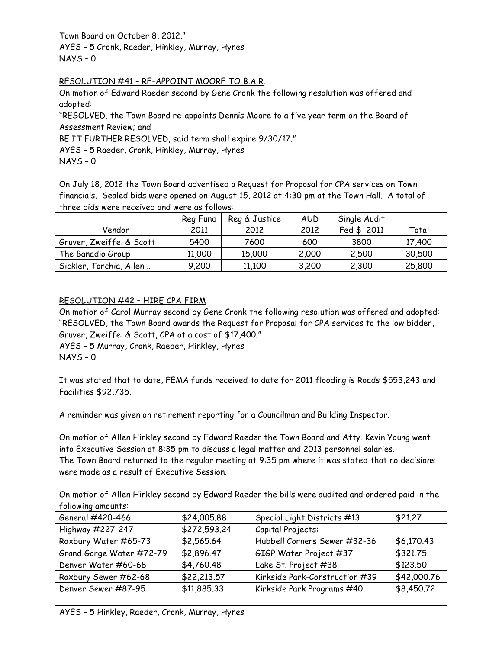Town Board on October 8, 2012." AYES – 5 Cronk, Raeder, Hinkley, Murray, Hynes

NAYS – 0

## RESOLUTION #41 – RE-APPOINT MOORE TO B.A.R.

On motion of Edward Raeder second by Gene Cronk the following resolution was offered and adopted:

"RESOLVED, the Town Board re-appoints Dennis Moore to a five year term on the Board of Assessment Review; and

BE IT FURTHER RESOLVED, said term shall expire 9/30/17."

AYES – 5 Raeder, Cronk, Hinkley, Murray, Hynes

NAYS – 0

On July 18, 2012 the Town Board advertised a Request for Proposal for CPA services on Town financials. Sealed bids were opened on August 15, 2012 at 4:30 pm at the Town Hall. A total of three bids were received and were as follows:

|                          | Reg Fund | Reg & Justice | <b>AUD</b> | Single Audit |        |
|--------------------------|----------|---------------|------------|--------------|--------|
| Vendor                   | 2011     | 2012          | 2012       | Fed \$ 2011  | Total  |
| Gruver, Zweiffel & Scott | 5400     | 7600          | 600        | 3800         | 17,400 |
| The Banadio Group        | 11,000   | 15,000        | 2,000      | 2,500        | 30,500 |
| Sickler, Torchia, Allen  | 9,200    | 11,100        | 3,200      | 2,300        | 25,800 |

## RESOLUTION #42 – HIRE CPA FIRM

On motion of Carol Murray second by Gene Cronk the following resolution was offered and adopted: "RESOLVED, the Town Board awards the Request for Proposal for CPA services to the low bidder, Gruver, Zweiffel & Scott, CPA at a cost of \$17,400."

AYES – 5 Murray, Cronk, Raeder, Hinkley, Hynes

NAYS – 0

It was stated that to date, FEMA funds received to date for 2011 flooding is Roads \$553,243 and Facilities \$92,735.

A reminder was given on retirement reporting for a Councilman and Building Inspector.

On motion of Allen Hinkley second by Edward Raeder the Town Board and Atty. Kevin Young went into Executive Session at 8:35 pm to discuss a legal matter and 2013 personnel salaries. The Town Board returned to the regular meeting at 9:35 pm where it was stated that no decisions were made as a result of Executive Session.

On motion of Allen Hinkley second by Edward Raeder the bills were audited and ordered paid in the following amounts:

| General #420-466         | \$24,005.88  | Special Light Districts #13    | \$21.27     |
|--------------------------|--------------|--------------------------------|-------------|
| Highway #227-247         | \$272,593.24 | Capital Projects:              |             |
| Roxbury Water #65-73     | \$2,565.64   | Hubbell Corners Sewer #32-36   | \$6,170.43  |
| Grand Gorge Water #72-79 | \$2,896.47   | GIGP Water Project #37         | \$321.75    |
| Denver Water #60-68      | \$4,760.48   | Lake St. Project #38           | \$123.50    |
| Roxbury Sewer #62-68     | \$22,213.57  | Kirkside Park-Construction #39 | \$42,000.76 |
| Denver Sewer #87-95      | \$11,885.33  | Kirkside Park Programs #40     | \$8,450.72  |
|                          |              |                                |             |